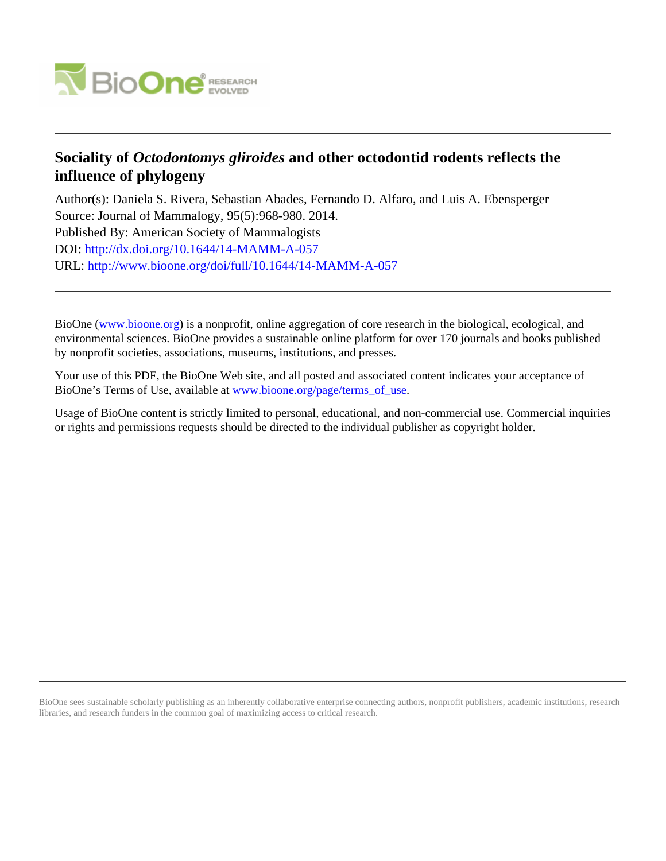

# **Sociality of** *Octodontomys gliroides* **and other octodontid rodents reflects the influence of phylogeny**

Author(s): Daniela S. Rivera, Sebastian Abades, Fernando D. Alfaro, and Luis A. Ebensperger Source: Journal of Mammalogy, 95(5):968-980. 2014. Published By: American Society of Mammalogists DOI:<http://dx.doi.org/10.1644/14-MAMM-A-057> URL: <http://www.bioone.org/doi/full/10.1644/14-MAMM-A-057>

BioOne [\(www.bioone.org\)](http://www.bioone.org) is a nonprofit, online aggregation of core research in the biological, ecological, and environmental sciences. BioOne provides a sustainable online platform for over 170 journals and books published by nonprofit societies, associations, museums, institutions, and presses.

Your use of this PDF, the BioOne Web site, and all posted and associated content indicates your acceptance of BioOne's Terms of Use, available at [www.bioone.org/page/terms\\_of\\_use.](http://www.bioone.org/page/terms_of_use)

Usage of BioOne content is strictly limited to personal, educational, and non-commercial use. Commercial inquiries or rights and permissions requests should be directed to the individual publisher as copyright holder.

BioOne sees sustainable scholarly publishing as an inherently collaborative enterprise connecting authors, nonprofit publishers, academic institutions, research libraries, and research funders in the common goal of maximizing access to critical research.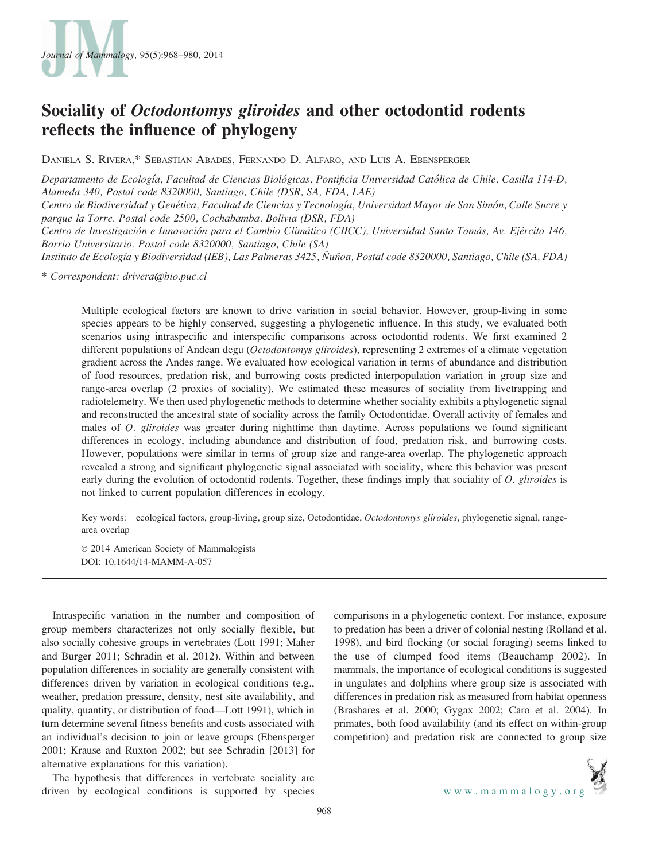

# Sociality of Octodontomys gliroides and other octodontid rodents reflects the influence of phylogeny

DANIELA S. RIVERA,\* SEBASTIAN ABADES, FERNANDO D. ALFARO, AND LUIS A. EBENSPERGER

Departamento de Ecología, Facultad de Ciencias Biológicas, Pontificia Universidad Católica de Chile, Casilla 114-D, Alameda 340, Postal code 8320000, Santiago, Chile (DSR, SA, FDA, LAE)

Centro de Biodiversidad y Genética, Facultad de Ciencias y Tecnología, Universidad Mayor de San Simón, Calle Sucre y parque la Torre. Postal code 2500, Cochabamba, Bolivia (DSR, FDA)

Centro de Investigación e Innovación para el Cambio Climático (CIICC), Universidad Santo Tomás, Av. Ejército 146, Barrio Universitario. Postal code 8320000, Santiago, Chile (SA)

Instituto de Ecología y Biodiversidad (IEB), Las Palmeras 3425, Ñuñoa, Postal code 8320000, Santiago, Chile (SA, FDA)

\* Correspondent: drivera@bio.puc.cl

Multiple ecological factors are known to drive variation in social behavior. However, group-living in some species appears to be highly conserved, suggesting a phylogenetic influence. In this study, we evaluated both scenarios using intraspecific and interspecific comparisons across octodontid rodents. We first examined 2 different populations of Andean degu (*Octodontomys gliroides*), representing 2 extremes of a climate vegetation gradient across the Andes range. We evaluated how ecological variation in terms of abundance and distribution of food resources, predation risk, and burrowing costs predicted interpopulation variation in group size and range-area overlap (2 proxies of sociality). We estimated these measures of sociality from livetrapping and radiotelemetry. We then used phylogenetic methods to determine whether sociality exhibits a phylogenetic signal and reconstructed the ancestral state of sociality across the family Octodontidae. Overall activity of females and males of O. gliroides was greater during nighttime than daytime. Across populations we found significant differences in ecology, including abundance and distribution of food, predation risk, and burrowing costs. However, populations were similar in terms of group size and range-area overlap. The phylogenetic approach revealed a strong and significant phylogenetic signal associated with sociality, where this behavior was present early during the evolution of octodontid rodents. Together, these findings imply that sociality of O. gliroides is not linked to current population differences in ecology.

Key words: ecological factors, group-living, group size, Octodontidae, Octodontomys gliroides, phylogenetic signal, rangearea overlap

 $© 2014$  American Society of Mammalogists DOI: 10.1644/14-MAMM-A-057

Intraspecific variation in the number and composition of group members characterizes not only socially flexible, but also socially cohesive groups in vertebrates (Lott 1991; Maher and Burger 2011; Schradin et al. 2012). Within and between population differences in sociality are generally consistent with differences driven by variation in ecological conditions (e.g., weather, predation pressure, density, nest site availability, and quality, quantity, or distribution of food—Lott 1991), which in turn determine several fitness benefits and costs associated with an individual's decision to join or leave groups (Ebensperger 2001; Krause and Ruxton 2002; but see Schradin [2013] for alternative explanations for this variation).

The hypothesis that differences in vertebrate sociality are driven by ecological conditions is supported by species

comparisons in a phylogenetic context. For instance, exposure to predation has been a driver of colonial nesting (Rolland et al. 1998), and bird flocking (or social foraging) seems linked to the use of clumped food items (Beauchamp 2002). In mammals, the importance of ecological conditions is suggested in ungulates and dolphins where group size is associated with differences in predation risk as measured from habitat openness (Brashares et al. 2000; Gygax 2002; Caro et al. 2004). In primates, both food availability (and its effect on within-group competition) and predation risk are connected to group size

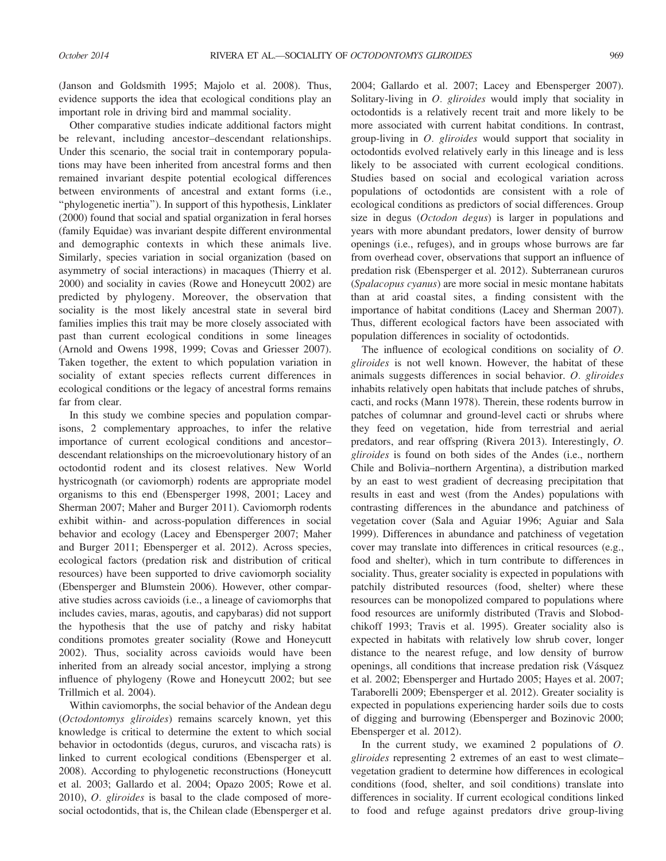(Janson and Goldsmith 1995; Majolo et al. 2008). Thus, evidence supports the idea that ecological conditions play an important role in driving bird and mammal sociality.

Other comparative studies indicate additional factors might be relevant, including ancestor–descendant relationships. Under this scenario, the social trait in contemporary populations may have been inherited from ancestral forms and then remained invariant despite potential ecological differences between environments of ancestral and extant forms (i.e., ''phylogenetic inertia''). In support of this hypothesis, Linklater (2000) found that social and spatial organization in feral horses (family Equidae) was invariant despite different environmental and demographic contexts in which these animals live. Similarly, species variation in social organization (based on asymmetry of social interactions) in macaques (Thierry et al. 2000) and sociality in cavies (Rowe and Honeycutt 2002) are predicted by phylogeny. Moreover, the observation that sociality is the most likely ancestral state in several bird families implies this trait may be more closely associated with past than current ecological conditions in some lineages (Arnold and Owens 1998, 1999; Covas and Griesser 2007). Taken together, the extent to which population variation in sociality of extant species reflects current differences in ecological conditions or the legacy of ancestral forms remains far from clear.

In this study we combine species and population comparisons, 2 complementary approaches, to infer the relative importance of current ecological conditions and ancestor– descendant relationships on the microevolutionary history of an octodontid rodent and its closest relatives. New World hystricognath (or caviomorph) rodents are appropriate model organisms to this end (Ebensperger 1998, 2001; Lacey and Sherman 2007; Maher and Burger 2011). Caviomorph rodents exhibit within- and across-population differences in social behavior and ecology (Lacey and Ebensperger 2007; Maher and Burger 2011; Ebensperger et al. 2012). Across species, ecological factors (predation risk and distribution of critical resources) have been supported to drive caviomorph sociality (Ebensperger and Blumstein 2006). However, other comparative studies across cavioids (i.e., a lineage of caviomorphs that includes cavies, maras, agoutis, and capybaras) did not support the hypothesis that the use of patchy and risky habitat conditions promotes greater sociality (Rowe and Honeycutt 2002). Thus, sociality across cavioids would have been inherited from an already social ancestor, implying a strong influence of phylogeny (Rowe and Honeycutt 2002; but see Trillmich et al. 2004).

Within caviomorphs, the social behavior of the Andean degu (Octodontomys gliroides) remains scarcely known, yet this knowledge is critical to determine the extent to which social behavior in octodontids (degus, cururos, and viscacha rats) is linked to current ecological conditions (Ebensperger et al. 2008). According to phylogenetic reconstructions (Honeycutt et al. 2003; Gallardo et al. 2004; Opazo 2005; Rowe et al. 2010), O. gliroides is basal to the clade composed of moresocial octodontids, that is, the Chilean clade (Ebensperger et al. 2004; Gallardo et al. 2007; Lacey and Ebensperger 2007). Solitary-living in *O. gliroides* would imply that sociality in octodontids is a relatively recent trait and more likely to be more associated with current habitat conditions. In contrast, group-living in O. gliroides would support that sociality in octodontids evolved relatively early in this lineage and is less likely to be associated with current ecological conditions. Studies based on social and ecological variation across populations of octodontids are consistent with a role of ecological conditions as predictors of social differences. Group size in degus (Octodon degus) is larger in populations and years with more abundant predators, lower density of burrow openings (i.e., refuges), and in groups whose burrows are far from overhead cover, observations that support an influence of predation risk (Ebensperger et al. 2012). Subterranean cururos (Spalacopus cyanus) are more social in mesic montane habitats than at arid coastal sites, a finding consistent with the importance of habitat conditions (Lacey and Sherman 2007). Thus, different ecological factors have been associated with population differences in sociality of octodontids.

The influence of ecological conditions on sociality of O. gliroides is not well known. However, the habitat of these animals suggests differences in social behavior. O. gliroides inhabits relatively open habitats that include patches of shrubs, cacti, and rocks (Mann 1978). Therein, these rodents burrow in patches of columnar and ground-level cacti or shrubs where they feed on vegetation, hide from terrestrial and aerial predators, and rear offspring (Rivera 2013). Interestingly, O. gliroides is found on both sides of the Andes (i.e., northern Chile and Bolivia–northern Argentina), a distribution marked by an east to west gradient of decreasing precipitation that results in east and west (from the Andes) populations with contrasting differences in the abundance and patchiness of vegetation cover (Sala and Aguiar 1996; Aguiar and Sala 1999). Differences in abundance and patchiness of vegetation cover may translate into differences in critical resources (e.g., food and shelter), which in turn contribute to differences in sociality. Thus, greater sociality is expected in populations with patchily distributed resources (food, shelter) where these resources can be monopolized compared to populations where food resources are uniformly distributed (Travis and Slobodchikoff 1993; Travis et al. 1995). Greater sociality also is expected in habitats with relatively low shrub cover, longer distance to the nearest refuge, and low density of burrow openings, all conditions that increase predation risk (Vásquez et al. 2002; Ebensperger and Hurtado 2005; Hayes et al. 2007; Taraborelli 2009; Ebensperger et al. 2012). Greater sociality is expected in populations experiencing harder soils due to costs of digging and burrowing (Ebensperger and Bozinovic 2000; Ebensperger et al. 2012).

In the current study, we examined 2 populations of  $O$ . gliroides representing 2 extremes of an east to west climate– vegetation gradient to determine how differences in ecological conditions (food, shelter, and soil conditions) translate into differences in sociality. If current ecological conditions linked to food and refuge against predators drive group-living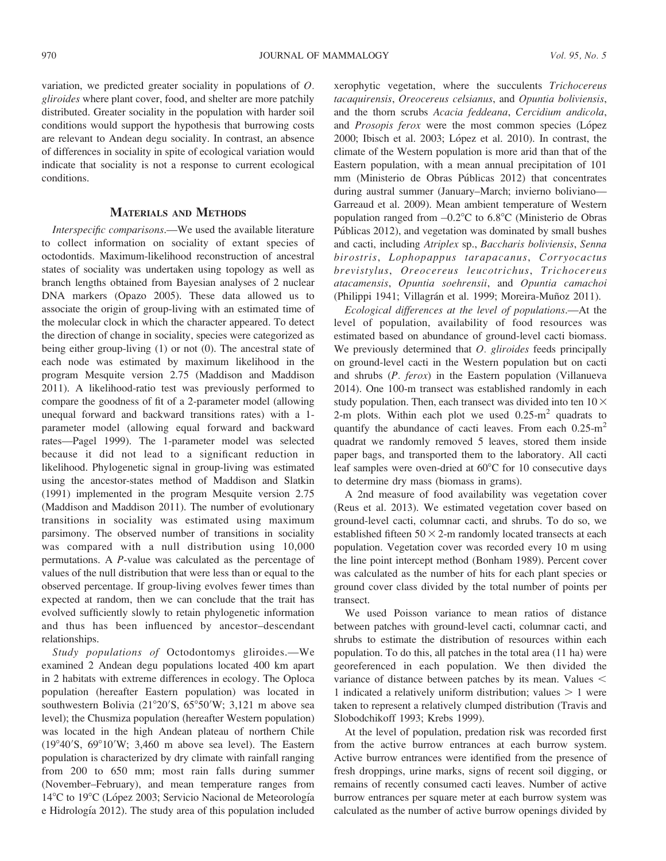variation, we predicted greater sociality in populations of O. gliroides where plant cover, food, and shelter are more patchily distributed. Greater sociality in the population with harder soil conditions would support the hypothesis that burrowing costs are relevant to Andean degu sociality. In contrast, an absence of differences in sociality in spite of ecological variation would indicate that sociality is not a response to current ecological conditions.

### MATERIALS AND METHODS

Interspecific comparisons.—We used the available literature to collect information on sociality of extant species of octodontids. Maximum-likelihood reconstruction of ancestral states of sociality was undertaken using topology as well as branch lengths obtained from Bayesian analyses of 2 nuclear DNA markers (Opazo 2005). These data allowed us to associate the origin of group-living with an estimated time of the molecular clock in which the character appeared. To detect the direction of change in sociality, species were categorized as being either group-living (1) or not (0). The ancestral state of each node was estimated by maximum likelihood in the program Mesquite version 2.75 (Maddison and Maddison 2011). A likelihood-ratio test was previously performed to compare the goodness of fit of a 2-parameter model (allowing unequal forward and backward transitions rates) with a 1 parameter model (allowing equal forward and backward rates—Pagel 1999). The 1-parameter model was selected because it did not lead to a significant reduction in likelihood. Phylogenetic signal in group-living was estimated using the ancestor-states method of Maddison and Slatkin (1991) implemented in the program Mesquite version 2.75 (Maddison and Maddison 2011). The number of evolutionary transitions in sociality was estimated using maximum parsimony. The observed number of transitions in sociality was compared with a null distribution using 10,000 permutations. A P-value was calculated as the percentage of values of the null distribution that were less than or equal to the observed percentage. If group-living evolves fewer times than expected at random, then we can conclude that the trait has evolved sufficiently slowly to retain phylogenetic information and thus has been influenced by ancestor–descendant relationships.

Study populations of Octodontomys gliroides.—We examined 2 Andean degu populations located 400 km apart in 2 habitats with extreme differences in ecology. The Oploca population (hereafter Eastern population) was located in southwestern Bolivia  $(21^{\circ}20^{\prime}S, 65^{\circ}50^{\prime}W; 3,121 \text{ m}$  above sea level); the Chusmiza population (hereafter Western population) was located in the high Andean plateau of northern Chile  $(19°40'S, 69°10'W; 3,460 m$  above sea level). The Eastern population is characterized by dry climate with rainfall ranging from 200 to 650 mm; most rain falls during summer (November–February), and mean temperature ranges from 14°C to 19°C (López 2003; Servicio Nacional de Meteorología e Hidrología 2012). The study area of this population included

xerophytic vegetation, where the succulents Trichocereus tacaquirensis, Oreocereus celsianus, and Opuntia boliviensis, and the thorn scrubs Acacia feddeana, Cercidium andicola, and Prosopis ferox were the most common species (López 2000; Ibisch et al. 2003; López et al. 2010). In contrast, the climate of the Western population is more arid than that of the Eastern population, with a mean annual precipitation of 101 mm (Ministerio de Obras Públicas 2012) that concentrates during austral summer (January–March; invierno boliviano— Garreaud et al. 2009). Mean ambient temperature of Western population ranged from  $-0.2$ °C to 6.8°C (Ministerio de Obras Públicas 2012), and vegetation was dominated by small bushes and cacti, including Atriplex sp., Baccharis boliviensis, Senna birostris, Lophopappus tarapacanus, Corryocactus brevistylus, Oreocereus leucotrichus, Trichocereus atacamensis, Opuntia soehrensii, and Opuntia camachoi (Philippi 1941; Villagrán et al. 1999; Moreira-Muñoz 2011).

Ecological differences at the level of populations.—At the level of population, availability of food resources was estimated based on abundance of ground-level cacti biomass. We previously determined that *O. gliroides* feeds principally on ground-level cacti in the Western population but on cacti and shrubs (P. ferox) in the Eastern population (Villanueva 2014). One 100-m transect was established randomly in each study population. Then, each transect was divided into ten  $10\times$ 2-m plots. Within each plot we used  $0.25 \text{ m}^2$  quadrats to quantify the abundance of cacti leaves. From each  $0.25 \text{ m}^2$ quadrat we randomly removed 5 leaves, stored them inside paper bags, and transported them to the laboratory. All cacti leaf samples were oven-dried at  $60^{\circ}$ C for 10 consecutive days to determine dry mass (biomass in grams).

A 2nd measure of food availability was vegetation cover (Reus et al. 2013). We estimated vegetation cover based on ground-level cacti, columnar cacti, and shrubs. To do so, we established fifteen  $50 \times 2$ -m randomly located transects at each population. Vegetation cover was recorded every 10 m using the line point intercept method (Bonham 1989). Percent cover was calculated as the number of hits for each plant species or ground cover class divided by the total number of points per transect.

We used Poisson variance to mean ratios of distance between patches with ground-level cacti, columnar cacti, and shrubs to estimate the distribution of resources within each population. To do this, all patches in the total area (11 ha) were georeferenced in each population. We then divided the variance of distance between patches by its mean. Values  $\lt$ 1 indicated a relatively uniform distribution; values  $> 1$  were taken to represent a relatively clumped distribution (Travis and Slobodchikoff 1993; Krebs 1999).

At the level of population, predation risk was recorded first from the active burrow entrances at each burrow system. Active burrow entrances were identified from the presence of fresh droppings, urine marks, signs of recent soil digging, or remains of recently consumed cacti leaves. Number of active burrow entrances per square meter at each burrow system was calculated as the number of active burrow openings divided by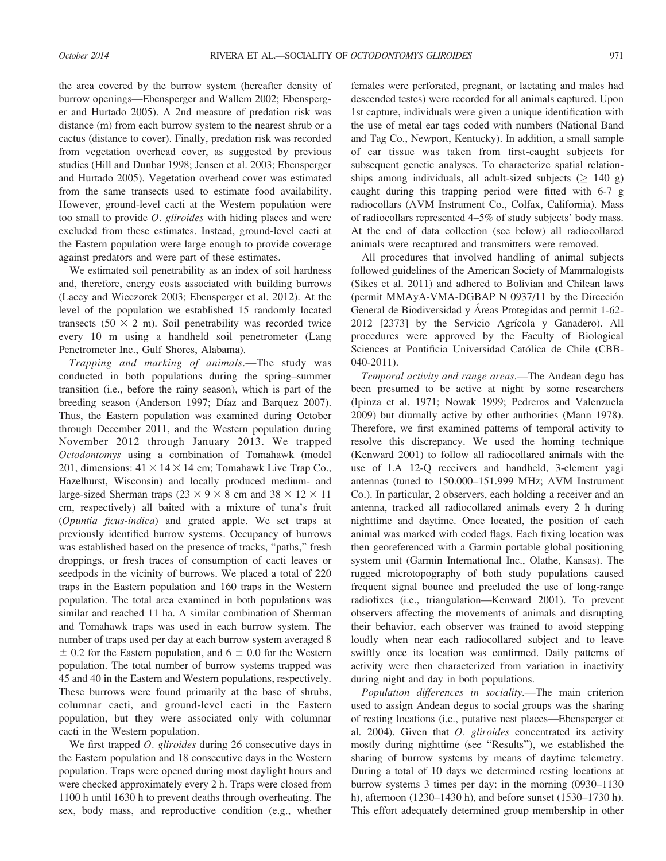the area covered by the burrow system (hereafter density of burrow openings—Ebensperger and Wallem 2002; Ebensperger and Hurtado 2005). A 2nd measure of predation risk was distance (m) from each burrow system to the nearest shrub or a cactus (distance to cover). Finally, predation risk was recorded from vegetation overhead cover, as suggested by previous studies (Hill and Dunbar 1998; Jensen et al. 2003; Ebensperger and Hurtado 2005). Vegetation overhead cover was estimated from the same transects used to estimate food availability. However, ground-level cacti at the Western population were too small to provide O. gliroides with hiding places and were excluded from these estimates. Instead, ground-level cacti at the Eastern population were large enough to provide coverage against predators and were part of these estimates.

We estimated soil penetrability as an index of soil hardness and, therefore, energy costs associated with building burrows (Lacey and Wieczorek 2003; Ebensperger et al. 2012). At the level of the population we established 15 randomly located transects  $(50 \times 2 \text{ m})$ . Soil penetrability was recorded twice every 10 m using a handheld soil penetrometer (Lang Penetrometer Inc., Gulf Shores, Alabama).

Trapping and marking of animals.—The study was conducted in both populations during the spring–summer transition (i.e., before the rainy season), which is part of the breeding season (Anderson 1997; Díaz and Barquez 2007). Thus, the Eastern population was examined during October through December 2011, and the Western population during November 2012 through January 2013. We trapped Octodontomys using a combination of Tomahawk (model 201, dimensions:  $41 \times 14 \times 14$  cm; Tomahawk Live Trap Co., Hazelhurst, Wisconsin) and locally produced medium- and large-sized Sherman traps (23  $\times$  9  $\times$  8 cm and 38  $\times$  12  $\times$  11 cm, respectively) all baited with a mixture of tuna's fruit (Opuntia ficus-indica) and grated apple. We set traps at previously identified burrow systems. Occupancy of burrows was established based on the presence of tracks, "paths," fresh droppings, or fresh traces of consumption of cacti leaves or seedpods in the vicinity of burrows. We placed a total of 220 traps in the Eastern population and 160 traps in the Western population. The total area examined in both populations was similar and reached 11 ha. A similar combination of Sherman and Tomahawk traps was used in each burrow system. The number of traps used per day at each burrow system averaged 8  $\pm$  0.2 for the Eastern population, and 6  $\pm$  0.0 for the Western population. The total number of burrow systems trapped was 45 and 40 in the Eastern and Western populations, respectively. These burrows were found primarily at the base of shrubs, columnar cacti, and ground-level cacti in the Eastern population, but they were associated only with columnar cacti in the Western population.

We first trapped *O. gliroides* during 26 consecutive days in the Eastern population and 18 consecutive days in the Western population. Traps were opened during most daylight hours and were checked approximately every 2 h. Traps were closed from 1100 h until 1630 h to prevent deaths through overheating. The sex, body mass, and reproductive condition (e.g., whether

females were perforated, pregnant, or lactating and males had descended testes) were recorded for all animals captured. Upon 1st capture, individuals were given a unique identification with the use of metal ear tags coded with numbers (National Band and Tag Co., Newport, Kentucky). In addition, a small sample of ear tissue was taken from first-caught subjects for subsequent genetic analyses. To characterize spatial relationships among individuals, all adult-sized subjects ( $\geq 140$  g) caught during this trapping period were fitted with 6-7 g radiocollars (AVM Instrument Co., Colfax, California). Mass of radiocollars represented 4–5% of study subjects' body mass. At the end of data collection (see below) all radiocollared animals were recaptured and transmitters were removed.

All procedures that involved handling of animal subjects followed guidelines of the American Society of Mammalogists (Sikes et al. 2011) and adhered to Bolivian and Chilean laws (permit MMAyA-VMA-DGBAP N 0937/11 by the Dirección General de Biodiversidad y Áreas Protegidas and permit 1-62-2012 [2373] by the Servicio Agrícola y Ganadero). All procedures were approved by the Faculty of Biological Sciences at Pontificia Universidad Católica de Chile (CBB-040-2011).

Temporal activity and range areas.—The Andean degu has been presumed to be active at night by some researchers (Ipinza et al. 1971; Nowak 1999; Pedreros and Valenzuela 2009) but diurnally active by other authorities (Mann 1978). Therefore, we first examined patterns of temporal activity to resolve this discrepancy. We used the homing technique (Kenward 2001) to follow all radiocollared animals with the use of LA 12-Q receivers and handheld, 3-element yagi antennas (tuned to 150.000–151.999 MHz; AVM Instrument Co.). In particular, 2 observers, each holding a receiver and an antenna, tracked all radiocollared animals every 2 h during nighttime and daytime. Once located, the position of each animal was marked with coded flags. Each fixing location was then georeferenced with a Garmin portable global positioning system unit (Garmin International Inc., Olathe, Kansas). The rugged microtopography of both study populations caused frequent signal bounce and precluded the use of long-range radiofixes (i.e., triangulation—Kenward 2001). To prevent observers affecting the movements of animals and disrupting their behavior, each observer was trained to avoid stepping loudly when near each radiocollared subject and to leave swiftly once its location was confirmed. Daily patterns of activity were then characterized from variation in inactivity during night and day in both populations.

Population differences in sociality.—The main criterion used to assign Andean degus to social groups was the sharing of resting locations (i.e., putative nest places—Ebensperger et al. 2004). Given that  $O.$  gliroides concentrated its activity mostly during nighttime (see ''Results''), we established the sharing of burrow systems by means of daytime telemetry. During a total of 10 days we determined resting locations at burrow systems 3 times per day: in the morning (0930–1130 h), afternoon (1230–1430 h), and before sunset (1530–1730 h). This effort adequately determined group membership in other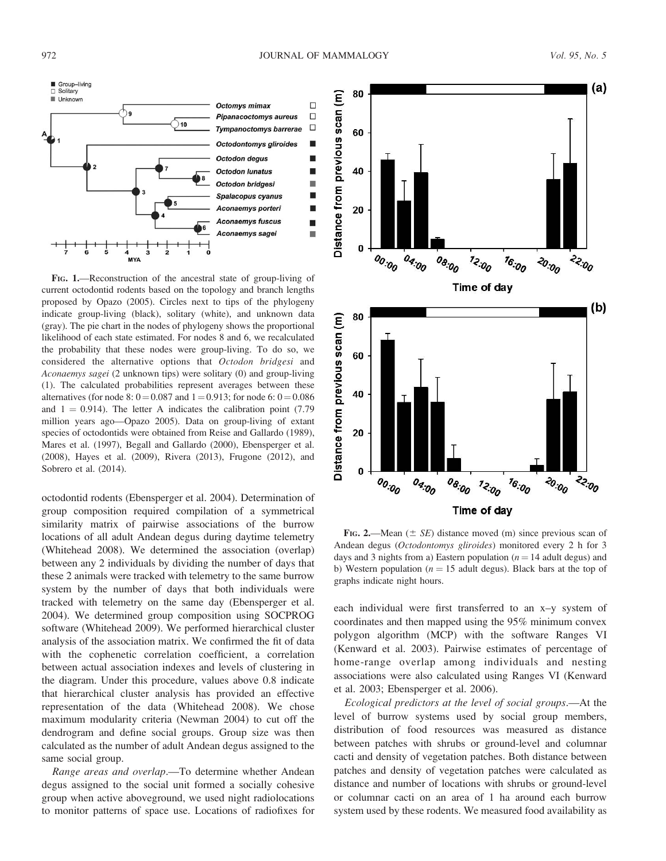

FIG. 1.—Reconstruction of the ancestral state of group-living of current octodontid rodents based on the topology and branch lengths proposed by Opazo (2005). Circles next to tips of the phylogeny indicate group-living (black), solitary (white), and unknown data (gray). The pie chart in the nodes of phylogeny shows the proportional likelihood of each state estimated. For nodes 8 and 6, we recalculated the probability that these nodes were group-living. To do so, we considered the alternative options that Octodon bridgesi and Aconaemys sagei (2 unknown tips) were solitary (0) and group-living (1). The calculated probabilities represent averages between these alternatives (for node 8:  $0 = 0.087$  and  $1 = 0.913$ ; for node 6:  $0 = 0.086$ and  $1 = 0.914$ ). The letter A indicates the calibration point (7.79) million years ago—Opazo 2005). Data on group-living of extant species of octodontids were obtained from Reise and Gallardo (1989), Mares et al. (1997), Begall and Gallardo (2000), Ebensperger et al. (2008), Hayes et al. (2009), Rivera (2013), Frugone (2012), and Sobrero et al. (2014).

octodontid rodents (Ebensperger et al. 2004). Determination of group composition required compilation of a symmetrical similarity matrix of pairwise associations of the burrow locations of all adult Andean degus during daytime telemetry (Whitehead 2008). We determined the association (overlap) between any 2 individuals by dividing the number of days that these 2 animals were tracked with telemetry to the same burrow system by the number of days that both individuals were tracked with telemetry on the same day (Ebensperger et al. 2004). We determined group composition using SOCPROG software (Whitehead 2009). We performed hierarchical cluster analysis of the association matrix. We confirmed the fit of data with the cophenetic correlation coefficient, a correlation between actual association indexes and levels of clustering in the diagram. Under this procedure, values above 0.8 indicate that hierarchical cluster analysis has provided an effective representation of the data (Whitehead 2008). We chose maximum modularity criteria (Newman 2004) to cut off the dendrogram and define social groups. Group size was then calculated as the number of adult Andean degus assigned to the same social group.

Range areas and overlap.—To determine whether Andean degus assigned to the social unit formed a socially cohesive group when active aboveground, we used night radiolocations to monitor patterns of space use. Locations of radiofixes for



FIG. 2.—Mean  $(\pm \text{ } SE)$  distance moved (m) since previous scan of Andean degus (Octodontomys gliroides) monitored every 2 h for 3 days and 3 nights from a) Eastern population ( $n = 14$  adult degus) and b) Western population ( $n = 15$  adult degus). Black bars at the top of graphs indicate night hours.

each individual were first transferred to an x–y system of coordinates and then mapped using the 95% minimum convex polygon algorithm (MCP) with the software Ranges VI (Kenward et al. 2003). Pairwise estimates of percentage of home-range overlap among individuals and nesting associations were also calculated using Ranges VI (Kenward et al. 2003; Ebensperger et al. 2006).

Ecological predictors at the level of social groups.—At the level of burrow systems used by social group members, distribution of food resources was measured as distance between patches with shrubs or ground-level and columnar cacti and density of vegetation patches. Both distance between patches and density of vegetation patches were calculated as distance and number of locations with shrubs or ground-level or columnar cacti on an area of 1 ha around each burrow system used by these rodents. We measured food availability as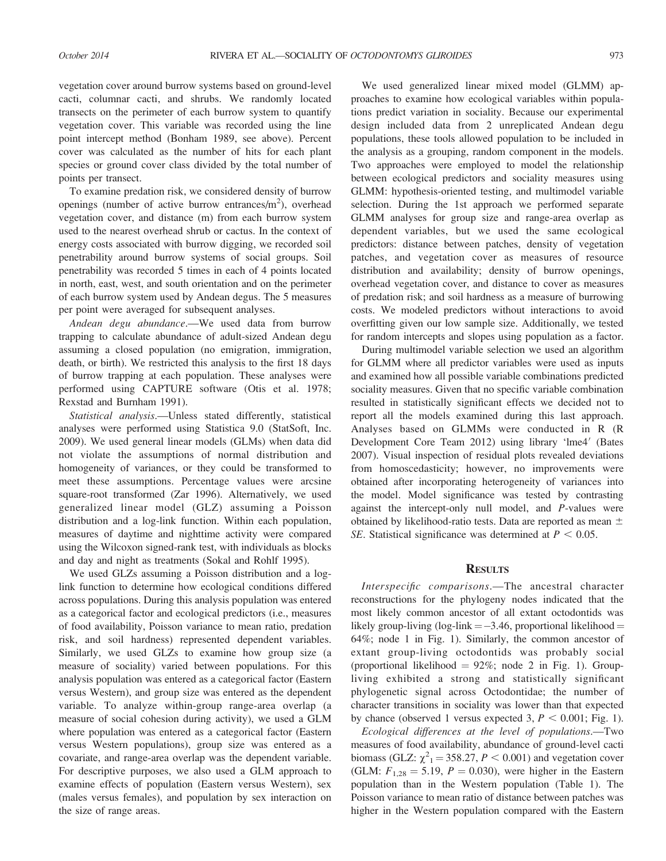vegetation cover around burrow systems based on ground-level cacti, columnar cacti, and shrubs. We randomly located transects on the perimeter of each burrow system to quantify vegetation cover. This variable was recorded using the line point intercept method (Bonham 1989, see above). Percent cover was calculated as the number of hits for each plant species or ground cover class divided by the total number of points per transect.

To examine predation risk, we considered density of burrow openings (number of active burrow entrances/ $m^2$ ), overhead vegetation cover, and distance (m) from each burrow system used to the nearest overhead shrub or cactus. In the context of energy costs associated with burrow digging, we recorded soil penetrability around burrow systems of social groups. Soil penetrability was recorded 5 times in each of 4 points located in north, east, west, and south orientation and on the perimeter of each burrow system used by Andean degus. The 5 measures per point were averaged for subsequent analyses.

Andean degu abundance.—We used data from burrow trapping to calculate abundance of adult-sized Andean degu assuming a closed population (no emigration, immigration, death, or birth). We restricted this analysis to the first 18 days of burrow trapping at each population. These analyses were performed using CAPTURE software (Otis et al. 1978; Rexstad and Burnham 1991).

Statistical analysis.—Unless stated differently, statistical analyses were performed using Statistica 9.0 (StatSoft, Inc. 2009). We used general linear models (GLMs) when data did not violate the assumptions of normal distribution and homogeneity of variances, or they could be transformed to meet these assumptions. Percentage values were arcsine square-root transformed (Zar 1996). Alternatively, we used generalized linear model (GLZ) assuming a Poisson distribution and a log-link function. Within each population, measures of daytime and nighttime activity were compared using the Wilcoxon signed-rank test, with individuals as blocks and day and night as treatments (Sokal and Rohlf 1995).

We used GLZs assuming a Poisson distribution and a loglink function to determine how ecological conditions differed across populations. During this analysis population was entered as a categorical factor and ecological predictors (i.e., measures of food availability, Poisson variance to mean ratio, predation risk, and soil hardness) represented dependent variables. Similarly, we used GLZs to examine how group size (a measure of sociality) varied between populations. For this analysis population was entered as a categorical factor (Eastern versus Western), and group size was entered as the dependent variable. To analyze within-group range-area overlap (a measure of social cohesion during activity), we used a GLM where population was entered as a categorical factor (Eastern versus Western populations), group size was entered as a covariate, and range-area overlap was the dependent variable. For descriptive purposes, we also used a GLM approach to examine effects of population (Eastern versus Western), sex (males versus females), and population by sex interaction on the size of range areas.

We used generalized linear mixed model (GLMM) approaches to examine how ecological variables within populations predict variation in sociality. Because our experimental design included data from 2 unreplicated Andean degu populations, these tools allowed population to be included in the analysis as a grouping, random component in the models. Two approaches were employed to model the relationship between ecological predictors and sociality measures using GLMM: hypothesis-oriented testing, and multimodel variable selection. During the 1st approach we performed separate GLMM analyses for group size and range-area overlap as dependent variables, but we used the same ecological predictors: distance between patches, density of vegetation patches, and vegetation cover as measures of resource distribution and availability; density of burrow openings, overhead vegetation cover, and distance to cover as measures of predation risk; and soil hardness as a measure of burrowing costs. We modeled predictors without interactions to avoid overfitting given our low sample size. Additionally, we tested for random intercepts and slopes using population as a factor.

During multimodel variable selection we used an algorithm for GLMM where all predictor variables were used as inputs and examined how all possible variable combinations predicted sociality measures. Given that no specific variable combination resulted in statistically significant effects we decided not to report all the models examined during this last approach. Analyses based on GLMMs were conducted in R (R Development Core Team 2012) using library 'lme4' (Bates 2007). Visual inspection of residual plots revealed deviations from homoscedasticity; however, no improvements were obtained after incorporating heterogeneity of variances into the model. Model significance was tested by contrasting against the intercept-only null model, and P-values were obtained by likelihood-ratio tests. Data are reported as mean  $\pm$ SE. Statistical significance was determined at  $P < 0.05$ .

### **RESULTS**

Interspecific comparisons.—The ancestral character reconstructions for the phylogeny nodes indicated that the most likely common ancestor of all extant octodontids was likely group-living ( $log$ -link  $=-3.46$ , proportional likelihood  $=$ 64%; node 1 in Fig. 1). Similarly, the common ancestor of extant group-living octodontids was probably social (proportional likelihood  $= 92\%$ ; node 2 in Fig. 1). Groupliving exhibited a strong and statistically significant phylogenetic signal across Octodontidae; the number of character transitions in sociality was lower than that expected by chance (observed 1 versus expected 3,  $P < 0.001$ ; Fig. 1).

Ecological differences at the level of populations.—Two measures of food availability, abundance of ground-level cacti biomass (GLZ:  $\chi^2$ <sub>1</sub> = 358.27, *P* < 0.001) and vegetation cover (GLM:  $F_{1,28} = 5.19, P = 0.030$ ), were higher in the Eastern population than in the Western population (Table 1). The Poisson variance to mean ratio of distance between patches was higher in the Western population compared with the Eastern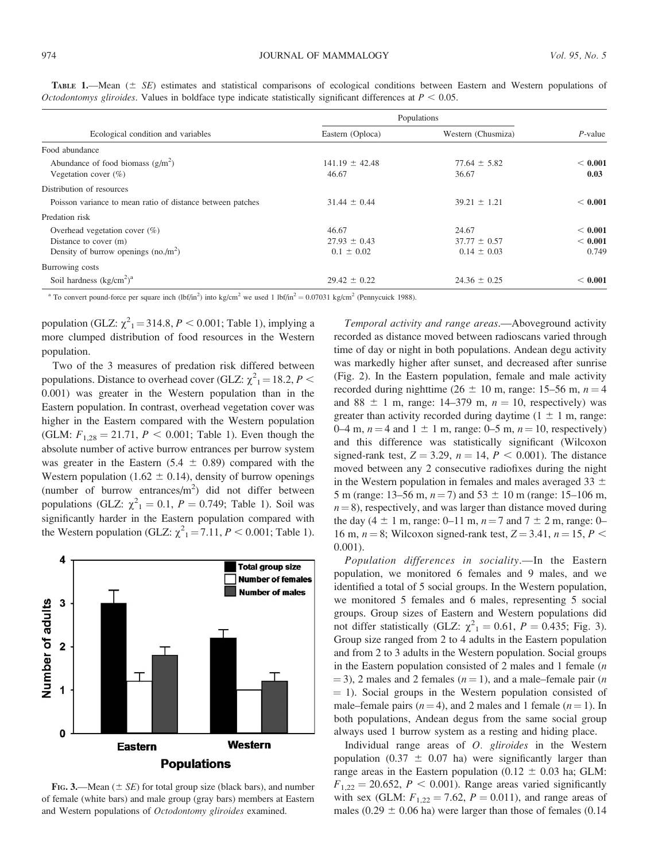| Ecological condition and variables                         | Populations        |                    |             |
|------------------------------------------------------------|--------------------|--------------------|-------------|
|                                                            | Eastern (Oploca)   | Western (Chusmiza) | $P$ -value  |
| Food abundance                                             |                    |                    |             |
| Abundance of food biomass $(g/m^2)$                        | $141.19 \pm 42.48$ | $77.64 \pm 5.82$   | < 0.001     |
| Vegetation cover $(\%)$                                    | 46.67              | 36.67              | 0.03        |
| Distribution of resources                                  |                    |                    |             |
| Poisson variance to mean ratio of distance between patches | $31.44 \pm 0.44$   | $39.21 \pm 1.21$   | < 0.001     |
| Predation risk                                             |                    |                    |             |
| Overhead vegetation cover $(\%)$                           | 46.67              | 24.67              | ${}< 0.001$ |
| Distance to cover (m)                                      | $27.93 \pm 0.43$   | $37.77 \pm 0.57$   | ${}< 0.001$ |
| Density of burrow openings $(no./m^2)$                     | $0.1 \pm 0.02$     | $0.14 \pm 0.03$    | 0.749       |
| Burrowing costs                                            |                    |                    |             |
| Soil hardness $(kg/cm2)a$                                  | $29.42 \pm 0.22$   | $24.36 \pm 0.25$   | < 0.001     |

TABLE 1.—Mean  $(\pm \ \leqslant S)$  estimates and statistical comparisons of ecological conditions between Eastern and Western populations of Octodontomys gliroides. Values in boldface type indicate statistically significant differences at  $P < 0.05$ .

<sup>a</sup> To convert pound-force per square inch (lbf/in<sup>2</sup>) into kg/cm<sup>2</sup> we used 1 lbf/in<sup>2</sup> = 0.07031 kg/cm<sup>2</sup> (Pennycuick 1988).

population (GLZ:  $\chi^2$ <sub>1</sub> = 314.8, *P* < 0.001; Table 1), implying a more clumped distribution of food resources in the Western population.

Two of the 3 measures of predation risk differed between populations. Distance to overhead cover (GLZ:  $\chi^2_{1} = 18.2, P <$ 0.001) was greater in the Western population than in the Eastern population. In contrast, overhead vegetation cover was higher in the Eastern compared with the Western population (GLM:  $F_{1,28} = 21.71$ ,  $P < 0.001$ ; Table 1). Even though the absolute number of active burrow entrances per burrow system was greater in the Eastern  $(5.4 \pm 0.89)$  compared with the Western population (1.62  $\pm$  0.14), density of burrow openings (number of burrow entrances/ $m^2$ ) did not differ between populations (GLZ:  $\chi^2_1 = 0.1$ ,  $P = 0.749$ ; Table 1). Soil was significantly harder in the Eastern population compared with the Western population (GLZ:  $\chi^2_1 = 7.11$ ,  $P < 0.001$ ; Table 1).



FIG. 3.—Mean ( $\pm$  SE) for total group size (black bars), and number of female (white bars) and male group (gray bars) members at Eastern and Western populations of Octodontomy gliroides examined.

Temporal activity and range areas.—Aboveground activity recorded as distance moved between radioscans varied through time of day or night in both populations. Andean degu activity was markedly higher after sunset, and decreased after sunrise (Fig. 2). In the Eastern population, female and male activity recorded during nighttime ( $26 \pm 10$  m, range: 15–56 m,  $n = 4$ and 88  $\pm$  1 m, range: 14–379 m,  $n = 10$ , respectively) was greater than activity recorded during daytime  $(1 \pm 1 \text{ m}, \text{range})$ : 0–4 m,  $n = 4$  and 1  $\pm$  1 m, range: 0–5 m,  $n = 10$ , respectively) and this difference was statistically significant (Wilcoxon signed-rank test,  $Z = 3.29$ ,  $n = 14$ ,  $P < 0.001$ ). The distance moved between any 2 consecutive radiofixes during the night in the Western population in females and males averaged 33  $\pm$ 5 m (range: 13–56 m,  $n = 7$ ) and 53  $\pm$  10 m (range: 15–106 m,  $n=8$ ), respectively, and was larger than distance moved during the day (4  $\pm$  1 m, range: 0–11 m, n = 7 and 7  $\pm$  2 m, range: 0– 16 m,  $n = 8$ ; Wilcoxon signed-rank test,  $Z = 3.41$ ,  $n = 15$ ,  $P <$ 0.001).

Population differences in sociality.—In the Eastern population, we monitored 6 females and 9 males, and we identified a total of 5 social groups. In the Western population, we monitored 5 females and 6 males, representing 5 social groups. Group sizes of Eastern and Western populations did not differ statistically (GLZ:  $\chi^2_{1} = 0.61$ ,  $P = 0.435$ ; Fig. 3). Group size ranged from 2 to 4 adults in the Eastern population and from 2 to 3 adults in the Western population. Social groups in the Eastern population consisted of 2 males and 1 female  $(n)$  $(1, 3)$ , 2 males and 2 females ( $n = 1$ ), and a male–female pair (*n*)  $=$  1). Social groups in the Western population consisted of male–female pairs ( $n=4$ ), and 2 males and 1 female ( $n=1$ ). In both populations, Andean degus from the same social group always used 1 burrow system as a resting and hiding place.

Individual range areas of O. gliroides in the Western population (0.37  $\pm$  0.07 ha) were significantly larger than range areas in the Eastern population (0.12  $\pm$  0.03 ha; GLM:  $F_{1,22} = 20.652$ ,  $P < 0.001$ ). Range areas varied significantly with sex (GLM:  $F_{1,22} = 7.62$ ,  $P = 0.011$ ), and range areas of males (0.29  $\pm$  0.06 ha) were larger than those of females (0.14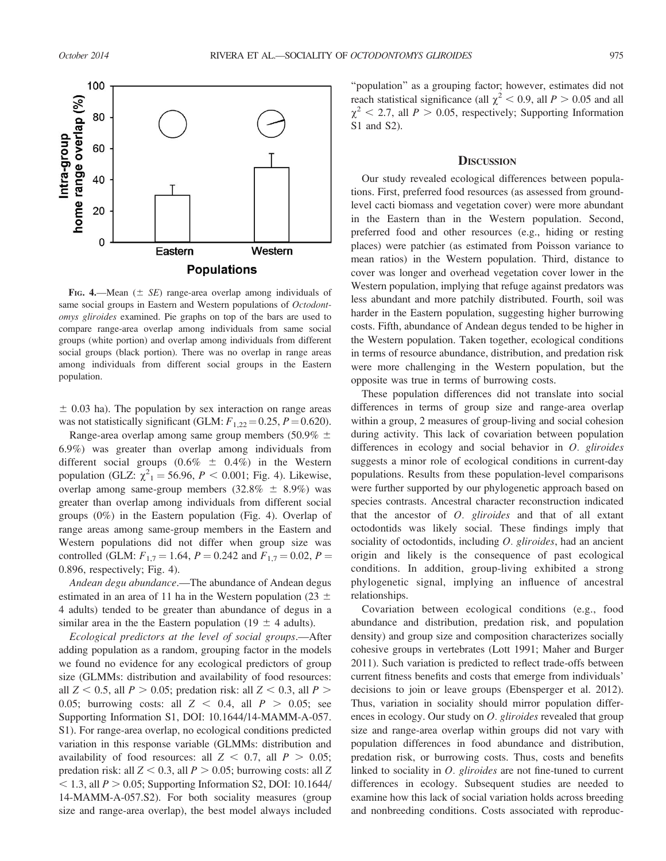

FIG. 4.—Mean ( $\pm$  SE) range-area overlap among individuals of same social groups in Eastern and Western populations of Octodontomys gliroides examined. Pie graphs on top of the bars are used to compare range-area overlap among individuals from same social groups (white portion) and overlap among individuals from different social groups (black portion). There was no overlap in range areas among individuals from different social groups in the Eastern population.

 $\pm$  0.03 ha). The population by sex interaction on range areas was not statistically significant (GLM:  $F_{1,22}$  = 0.25,  $P$  = 0.620).

Range-area overlap among same group members (50.9%  $\pm$ 6.9%) was greater than overlap among individuals from different social groups  $(0.6\% \pm 0.4\%)$  in the Western population (GLZ:  $\chi^2_1 = 56.96, P < 0.001$ ; Fig. 4). Likewise, overlap among same-group members  $(32.8\% \pm 8.9\%)$  was greater than overlap among individuals from different social groups (0%) in the Eastern population (Fig. 4). Overlap of range areas among same-group members in the Eastern and Western populations did not differ when group size was controlled (GLM:  $F_{1,7} = 1.64$ ,  $P = 0.242$  and  $F_{1,7} = 0.02$ ,  $P =$ 0.896, respectively; Fig. 4).

Andean degu abundance.—The abundance of Andean degus estimated in an area of 11 ha in the Western population (23  $\pm$ 4 adults) tended to be greater than abundance of degus in a similar area in the the Eastern population (19  $\pm$  4 adults).

Ecological predictors at the level of social groups.—After adding population as a random, grouping factor in the models we found no evidence for any ecological predictors of group size (GLMMs: distribution and availability of food resources: all  $Z < 0.5$ , all  $P > 0.05$ ; predation risk: all  $Z < 0.3$ , all  $P >$ 0.05; burrowing costs: all  $Z < 0.4$ , all  $P > 0.05$ ; see Supporting Information S1, DOI: 10.1644/14-MAMM-A-057. S1). For range-area overlap, no ecological conditions predicted variation in this response variable (GLMMs: distribution and availability of food resources: all  $Z < 0.7$ , all  $P > 0.05$ ; predation risk: all  $Z < 0.3$ , all  $P > 0.05$ ; burrowing costs: all Z  $<$  1.3, all  $P > 0.05$ ; Supporting Information S2, DOI: 10.1644/ 14-MAMM-A-057.S2). For both sociality measures (group size and range-area overlap), the best model always included

''population'' as a grouping factor; however, estimates did not reach statistical significance (all  $\chi^2$  < 0.9, all *P* > 0.05 and all  $\chi^2$  < 2.7, all P > 0.05, respectively; Supporting Information S1 and S2).

#### **DISCUSSION**

Our study revealed ecological differences between populations. First, preferred food resources (as assessed from groundlevel cacti biomass and vegetation cover) were more abundant in the Eastern than in the Western population. Second, preferred food and other resources (e.g., hiding or resting places) were patchier (as estimated from Poisson variance to mean ratios) in the Western population. Third, distance to cover was longer and overhead vegetation cover lower in the Western population, implying that refuge against predators was less abundant and more patchily distributed. Fourth, soil was harder in the Eastern population, suggesting higher burrowing costs. Fifth, abundance of Andean degus tended to be higher in the Western population. Taken together, ecological conditions in terms of resource abundance, distribution, and predation risk were more challenging in the Western population, but the opposite was true in terms of burrowing costs.

These population differences did not translate into social differences in terms of group size and range-area overlap within a group, 2 measures of group-living and social cohesion during activity. This lack of covariation between population differences in ecology and social behavior in O. gliroides suggests a minor role of ecological conditions in current-day populations. Results from these population-level comparisons were further supported by our phylogenetic approach based on species contrasts. Ancestral character reconstruction indicated that the ancestor of  $O$ . gliroides and that of all extant octodontids was likely social. These findings imply that sociality of octodontids, including O. gliroides, had an ancient origin and likely is the consequence of past ecological conditions. In addition, group-living exhibited a strong phylogenetic signal, implying an influence of ancestral relationships.

Covariation between ecological conditions (e.g., food abundance and distribution, predation risk, and population density) and group size and composition characterizes socially cohesive groups in vertebrates (Lott 1991; Maher and Burger 2011). Such variation is predicted to reflect trade-offs between current fitness benefits and costs that emerge from individuals' decisions to join or leave groups (Ebensperger et al. 2012). Thus, variation in sociality should mirror population differences in ecology. Our study on *O. gliroides* revealed that group size and range-area overlap within groups did not vary with population differences in food abundance and distribution, predation risk, or burrowing costs. Thus, costs and benefits linked to sociality in O. gliroides are not fine-tuned to current differences in ecology. Subsequent studies are needed to examine how this lack of social variation holds across breeding and nonbreeding conditions. Costs associated with reproduc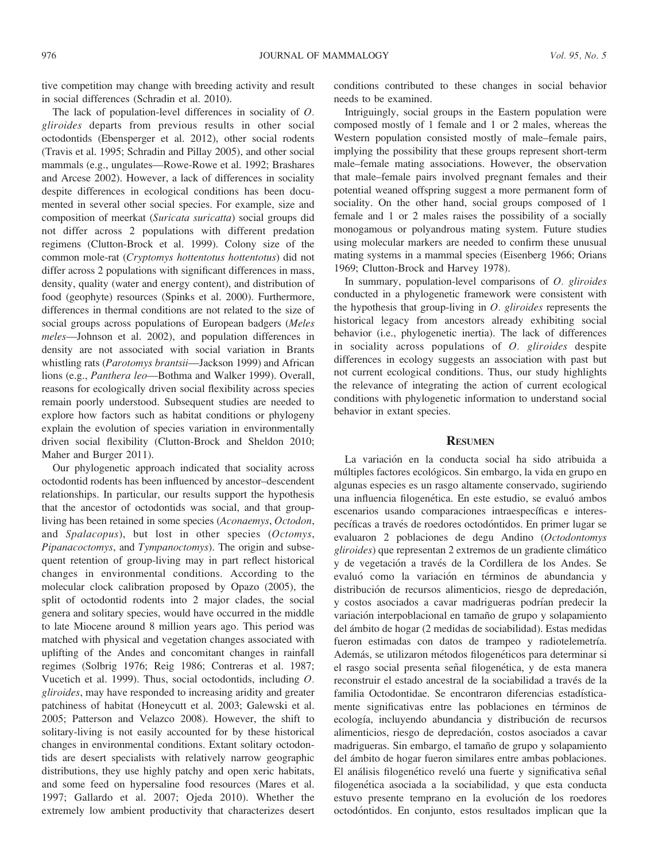tive competition may change with breeding activity and result in social differences (Schradin et al. 2010).

The lack of population-level differences in sociality of O. gliroides departs from previous results in other social octodontids (Ebensperger et al. 2012), other social rodents (Travis et al. 1995; Schradin and Pillay 2005), and other social mammals (e.g., ungulates—Rowe-Rowe et al. 1992; Brashares and Arcese 2002). However, a lack of differences in sociality despite differences in ecological conditions has been documented in several other social species. For example, size and composition of meerkat (Suricata suricatta) social groups did not differ across 2 populations with different predation regimens (Clutton-Brock et al. 1999). Colony size of the common mole-rat (Cryptomys hottentotus hottentotus) did not differ across 2 populations with significant differences in mass, density, quality (water and energy content), and distribution of food (geophyte) resources (Spinks et al. 2000). Furthermore, differences in thermal conditions are not related to the size of social groups across populations of European badgers (Meles meles—Johnson et al. 2002), and population differences in density are not associated with social variation in Brants whistling rats (Parotomys brantsii—Jackson 1999) and African lions (e.g., Panthera leo-Bothma and Walker 1999). Overall, reasons for ecologically driven social flexibility across species remain poorly understood. Subsequent studies are needed to explore how factors such as habitat conditions or phylogeny explain the evolution of species variation in environmentally driven social flexibility (Clutton-Brock and Sheldon 2010; Maher and Burger 2011).

Our phylogenetic approach indicated that sociality across octodontid rodents has been influenced by ancestor–descendent relationships. In particular, our results support the hypothesis that the ancestor of octodontids was social, and that groupliving has been retained in some species (Aconaemys, Octodon, and *Spalacopus*), but lost in other species (Octomys, Pipanacoctomys, and Tympanoctomys). The origin and subsequent retention of group-living may in part reflect historical changes in environmental conditions. According to the molecular clock calibration proposed by Opazo (2005), the split of octodontid rodents into 2 major clades, the social genera and solitary species, would have occurred in the middle to late Miocene around 8 million years ago. This period was matched with physical and vegetation changes associated with uplifting of the Andes and concomitant changes in rainfall regimes (Solbrig 1976; Reig 1986; Contreras et al. 1987; Vucetich et al. 1999). Thus, social octodontids, including O. gliroides, may have responded to increasing aridity and greater patchiness of habitat (Honeycutt et al. 2003; Galewski et al. 2005; Patterson and Velazco 2008). However, the shift to solitary-living is not easily accounted for by these historical changes in environmental conditions. Extant solitary octodontids are desert specialists with relatively narrow geographic distributions, they use highly patchy and open xeric habitats, and some feed on hypersaline food resources (Mares et al. 1997; Gallardo et al. 2007; Ojeda 2010). Whether the extremely low ambient productivity that characterizes desert

conditions contributed to these changes in social behavior needs to be examined.

Intriguingly, social groups in the Eastern population were composed mostly of 1 female and 1 or 2 males, whereas the Western population consisted mostly of male–female pairs, implying the possibility that these groups represent short-term male–female mating associations. However, the observation that male–female pairs involved pregnant females and their potential weaned offspring suggest a more permanent form of sociality. On the other hand, social groups composed of 1 female and 1 or 2 males raises the possibility of a socially monogamous or polyandrous mating system. Future studies using molecular markers are needed to confirm these unusual mating systems in a mammal species (Eisenberg 1966; Orians 1969; Clutton-Brock and Harvey 1978).

In summary, population-level comparisons of O. gliroides conducted in a phylogenetic framework were consistent with the hypothesis that group-living in  $O$ . gliroides represents the historical legacy from ancestors already exhibiting social behavior (i.e., phylogenetic inertia). The lack of differences in sociality across populations of  $O$ . gliroides despite differences in ecology suggests an association with past but not current ecological conditions. Thus, our study highlights the relevance of integrating the action of current ecological conditions with phylogenetic information to understand social behavior in extant species.

#### **RESUMEN**

La variacion en la conducta social ha sido atribuida a ´ múltiples factores ecológicos. Sin embargo, la vida en grupo en algunas especies es un rasgo altamente conservado, sugiriendo una influencia filogenética. En este estudio, se evaluó ambos escenarios usando comparaciones intraespecíficas e interespecíficas a través de roedores octodóntidos. En primer lugar se evaluaron 2 poblaciones de degu Andino (Octodontomys gliroides) que representan 2 extremos de un gradiente climático y de vegetación a través de la Cordillera de los Andes. Se evaluó como la variación en términos de abundancia y distribución de recursos alimenticios, riesgo de depredación, y costos asociados a cavar madrigueras podrían predecir la variación interpoblacional en tamaño de grupo y solapamiento del ámbito de hogar (2 medidas de sociabilidad). Estas medidas fueron estimadas con datos de trampeo y radiotelemetría. Además, se utilizaron métodos filogenéticos para determinar si el rasgo social presenta señal filogenética, y de esta manera reconstruir el estado ancestral de la sociabilidad a través de la familia Octodontidae. Se encontraron diferencias estadísticamente significativas entre las poblaciones en términos de ecología, incluyendo abundancia y distribución de recursos alimenticios, riesgo de depredacion, costos asociados a cavar ´ madrigueras. Sin embargo, el tamaño de grupo y solapamiento del ámbito de hogar fueron similares entre ambas poblaciones. El análisis filogenético reveló una fuerte y significativa señal filogenética asociada a la sociabilidad, y que esta conducta estuvo presente temprano en la evolución de los roedores octodontidos. En conjunto, estos resultados implican que la ´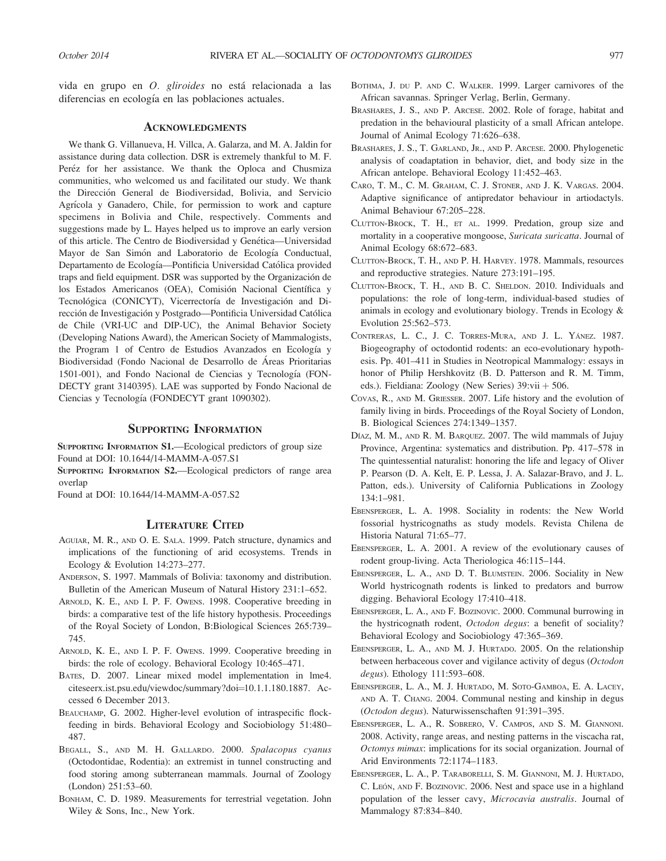vida en grupo en O. gliroides no está relacionada a las diferencias en ecología en las poblaciones actuales.

## ACKNOWLEDGMENTS

We thank G. Villanueva, H. Villca, A. Galarza, and M. A. Jaldin for assistance during data collection. DSR is extremely thankful to M. F. Peréz for her assistance. We thank the Oploca and Chusmiza communities, who welcomed us and facilitated our study. We thank the Direccion General de Biodiversidad, Bolivia, and Servicio ´ Agrícola y Ganadero, Chile, for permission to work and capture specimens in Bolivia and Chile, respectively. Comments and suggestions made by L. Hayes helped us to improve an early version of this article. The Centro de Biodiversidad y Genética—Universidad Mayor de San Simón and Laboratorio de Ecología Conductual, Departamento de Ecología-Pontificia Universidad Católica provided traps and field equipment. DSR was supported by the Organización de los Estados Americanos (OEA), Comisión Nacional Científica y Tecnológica (CONICYT), Vicerrectoría de Investigación and Dirección de Investigación y Postgrado—Pontificia Universidad Católica de Chile (VRI-UC and DIP-UC), the Animal Behavior Society (Developing Nations Award), the American Society of Mammalogists, the Program 1 of Centro de Estudios Avanzados en Ecología y Biodiversidad (Fondo Nacional de Desarrollo de Areas Prioritarias ´ 1501-001), and Fondo Nacional de Ciencias y Tecnología (FON-DECTY grant 3140395). LAE was supported by Fondo Nacional de Ciencias y Tecnología (FONDECYT grant 1090302).

#### SUPPORTING INFORMATION

SUPPORTING INFORMATION S1.—Ecological predictors of group size Found at DOI: 10.1644/14-MAMM-A-057.S1

SUPPORTING INFORMATION S2.—Ecological predictors of range area overlap

Found at DOI: 10.1644/14-MAMM-A-057.S2

#### LITERATURE CITED

- AGUIAR, M. R., AND O. E. SALA. 1999. Patch structure, dynamics and implications of the functioning of arid ecosystems. Trends in Ecology & Evolution 14:273–277.
- ANDERSON, S. 1997. Mammals of Bolivia: taxonomy and distribution. Bulletin of the American Museum of Natural History 231:1–652.
- ARNOLD, K. E., AND I. P. F. OWENS. 1998. Cooperative breeding in birds: a comparative test of the life history hypothesis. Proceedings of the Royal Society of London, B:Biological Sciences 265:739– 745.
- ARNOLD, K. E., AND I. P. F. OWENS. 1999. Cooperative breeding in birds: the role of ecology. Behavioral Ecology 10:465–471.
- BATES, D. 2007. Linear mixed model implementation in lme4. citeseerx.ist.psu.edu/viewdoc/summary?doi=10.1.1.180.1887. Accessed 6 December 2013.
- BEAUCHAMP, G. 2002. Higher-level evolution of intraspecific flockfeeding in birds. Behavioral Ecology and Sociobiology 51:480– 487.
- BEGALL, S., AND M. H. GALLARDO. 2000. Spalacopus cyanus (Octodontidae, Rodentia): an extremist in tunnel constructing and food storing among subterranean mammals. Journal of Zoology (London) 251:53–60.
- BONHAM, C. D. 1989. Measurements for terrestrial vegetation. John Wiley & Sons, Inc., New York.
- BOTHMA, J. DU P. AND C. WALKER. 1999. Larger carnivores of the African savannas. Springer Verlag, Berlin, Germany.
- BRASHARES, J. S., AND P. ARCESE. 2002. Role of forage, habitat and predation in the behavioural plasticity of a small African antelope. Journal of Animal Ecology 71:626–638.
- BRASHARES, J. S., T. GARLAND, JR., AND P. ARCESE. 2000. Phylogenetic analysis of coadaptation in behavior, diet, and body size in the African antelope. Behavioral Ecology 11:452–463.
- CARO, T. M., C. M. GRAHAM, C. J. STONER, AND J. K. VARGAS. 2004. Adaptive significance of antipredator behaviour in artiodactyls. Animal Behaviour 67:205–228.
- CLUTTON-BROCK, T. H., ET AL. 1999. Predation, group size and mortality in a cooperative mongoose, Suricata suricatta. Journal of Animal Ecology 68:672–683.
- CLUTTON-BROCK, T. H., AND P. H. HARVEY. 1978. Mammals, resources and reproductive strategies. Nature 273:191–195.
- CLUTTON-BROCK, T. H., AND B. C. SHELDON. 2010. Individuals and populations: the role of long-term, individual-based studies of animals in ecology and evolutionary biology. Trends in Ecology & Evolution 25:562–573.
- CONTRERAS, L. C., J. C. TORRES-MURA, AND J. L. YÁNEZ. 1987. Biogeography of octodontid rodents: an eco-evolutionary hypothesis. Pp. 401–411 in Studies in Neotropical Mammalogy: essays in honor of Philip Hershkovitz (B. D. Patterson and R. M. Timm, eds.). Fieldiana: Zoology (New Series)  $39$ :vii  $+ 506$ .
- COVAS, R., AND M. GRIESSER. 2007. Life history and the evolution of family living in birds. Proceedings of the Royal Society of London, B. Biological Sciences 274:1349–1357.
- Díaz, M. M., AND R. M. BARQUEZ. 2007. The wild mammals of Jujuy Province, Argentina: systematics and distribution. Pp. 417–578 in The quintessential naturalist: honoring the life and legacy of Oliver P. Pearson (D. A. Kelt, E. P. Lessa, J. A. Salazar-Bravo, and J. L. Patton, eds.). University of California Publications in Zoology 134:1–981.
- EBENSPERGER, L. A. 1998. Sociality in rodents: the New World fossorial hystricognaths as study models. Revista Chilena de Historia Natural 71:65–77.
- EBENSPERGER, L. A. 2001. A review of the evolutionary causes of rodent group-living. Acta Theriologica 46:115–144.
- EBENSPERGER, L. A., AND D. T. BLUMSTEIN. 2006. Sociality in New World hystricognath rodents is linked to predators and burrow digging. Behavioral Ecology 17:410–418.
- EBENSPERGER, L. A., AND F. BOZINOVIC. 2000. Communal burrowing in the hystricognath rodent, Octodon degus: a benefit of sociality? Behavioral Ecology and Sociobiology 47:365–369.
- EBENSPERGER, L. A., AND M. J. HURTADO. 2005. On the relationship between herbaceous cover and vigilance activity of degus (Octodon degus). Ethology 111:593–608.
- EBENSPERGER, L. A., M. J. HURTADO, M. SOTO-GAMBOA, E. A. LACEY, AND A. T. CHANG. 2004. Communal nesting and kinship in degus (Octodon degus). Naturwissenschaften 91:391–395.
- EBENSPERGER, L. A., R. SOBRERO, V. CAMPOS, AND S. M. GIANNONI. 2008. Activity, range areas, and nesting patterns in the viscacha rat, Octomys mimax: implications for its social organization. Journal of Arid Environments 72:1174–1183.
- EBENSPERGER, L. A., P. TARABORELLI, S. M. GIANNONI, M. J. HURTADO, C. LEÓN, AND F. BOZINOVIC. 2006. Nest and space use in a highland population of the lesser cavy, Microcavia australis. Journal of Mammalogy 87:834–840.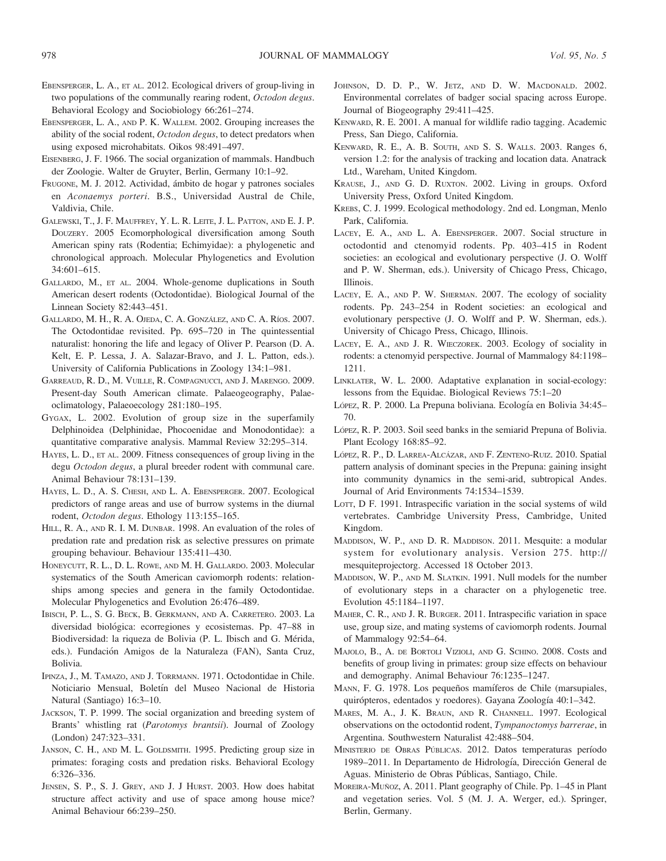- EBENSPERGER, L. A., ET AL. 2012. Ecological drivers of group-living in two populations of the communally rearing rodent, Octodon degus. Behavioral Ecology and Sociobiology 66:261–274.
- EBENSPERGER, L. A., AND P. K. WALLEM. 2002. Grouping increases the ability of the social rodent, Octodon degus, to detect predators when using exposed microhabitats. Oikos 98:491–497.
- EISENBERG, J. F. 1966. The social organization of mammals. Handbuch der Zoologie. Walter de Gruyter, Berlin, Germany 10:1–92.
- FRUGONE, M. J. 2012. Actividad, ámbito de hogar y patrones sociales en Aconaemys porteri. B.S., Universidad Austral de Chile, Valdivia, Chile.
- GALEWSKI, T., J. F. MAUFFREY, Y. L. R. LEITE, J. L. PATTON, AND E. J. P. DOUZERY. 2005 Ecomorphological diversification among South American spiny rats (Rodentia; Echimyidae): a phylogenetic and chronological approach. Molecular Phylogenetics and Evolution 34:601–615.
- GALLARDO, M., ET AL. 2004. Whole-genome duplications in South American desert rodents (Octodontidae). Biological Journal of the Linnean Society 82:443–451.
- GALLARDO, M. H., R. A. OJEDA, C. A. GONZÁLEZ, AND C. A. RÍOS. 2007. The Octodontidae revisited. Pp. 695–720 in The quintessential naturalist: honoring the life and legacy of Oliver P. Pearson (D. A. Kelt, E. P. Lessa, J. A. Salazar-Bravo, and J. L. Patton, eds.). University of California Publications in Zoology 134:1–981.
- GARREAUD, R. D., M. VUILLE, R. COMPAGNUCCI, AND J. MARENGO. 2009. Present-day South American climate. Palaeogeography, Palaeoclimatology, Palaeoecology 281:180–195.
- GYGAX, L. 2002. Evolution of group size in the superfamily Delphinoidea (Delphinidae, Phocoenidae and Monodontidae): a quantitative comparative analysis. Mammal Review 32:295–314.
- HAYES, L. D., ET AL. 2009. Fitness consequences of group living in the degu Octodon degus, a plural breeder rodent with communal care. Animal Behaviour 78:131–139.
- HAYES, L. D., A. S. CHESH, AND L. A. EBENSPERGER. 2007. Ecological predictors of range areas and use of burrow systems in the diurnal rodent, Octodon degus. Ethology 113:155–165.
- HILL, R. A., AND R. I. M. DUNBAR. 1998. An evaluation of the roles of predation rate and predation risk as selective pressures on primate grouping behaviour. Behaviour 135:411–430.
- HONEYCUTT, R. L., D. L. ROWE, AND M. H. GALLARDO. 2003. Molecular systematics of the South American caviomorph rodents: relationships among species and genera in the family Octodontidae. Molecular Phylogenetics and Evolution 26:476–489.
- IBISCH, P. L., S. G. BECK, B. GERKMANN, AND A. CARRETERO. 2003. La diversidad biológica: ecorregiones y ecosistemas. Pp. 47-88 in Biodiversidad: la riqueza de Bolivia (P. L. Ibisch and G. Mérida, eds.). Fundación Amigos de la Naturaleza (FAN), Santa Cruz, Bolivia.
- IPINZA, J., M. TAMAZO, AND J. TORRMANN. 1971. Octodontidae in Chile. Noticiario Mensual, Boletín del Museo Nacional de Historia Natural (Santiago) 16:3–10.
- JACKSON, T. P. 1999. The social organization and breeding system of Brants' whistling rat (Parotomys brantsii). Journal of Zoology (London) 247:323–331.
- JANSON, C. H., AND M. L. GOLDSMITH. 1995. Predicting group size in primates: foraging costs and predation risks. Behavioral Ecology 6:326–336.
- JENSEN, S. P., S. J. GREY, AND J. J HURST. 2003. How does habitat structure affect activity and use of space among house mice? Animal Behaviour 66:239–250.
- JOHNSON, D. D. P., W. JETZ, AND D. W. MACDONALD. 2002. Environmental correlates of badger social spacing across Europe. Journal of Biogeography 29:411–425.
- KENWARD, R. E. 2001. A manual for wildlife radio tagging. Academic Press, San Diego, California.
- KENWARD, R. E., A. B. SOUTH, AND S. S. WALLS. 2003. Ranges 6, version 1.2: for the analysis of tracking and location data. Anatrack Ltd., Wareham, United Kingdom.
- KRAUSE, J., AND G. D. RUXTON. 2002. Living in groups. Oxford University Press, Oxford United Kingdom.
- KREBS, C. J. 1999. Ecological methodology. 2nd ed. Longman, Menlo Park, California.
- LACEY, E. A., AND L. A. EBENSPERGER. 2007. Social structure in octodontid and ctenomyid rodents. Pp. 403–415 in Rodent societies: an ecological and evolutionary perspective (J. O. Wolff and P. W. Sherman, eds.). University of Chicago Press, Chicago, Illinois.
- LACEY, E. A., AND P. W. SHERMAN. 2007. The ecology of sociality rodents. Pp. 243–254 in Rodent societies: an ecological and evolutionary perspective (J. O. Wolff and P. W. Sherman, eds.). University of Chicago Press, Chicago, Illinois.
- LACEY, E. A., AND J. R. WIECZOREK. 2003. Ecology of sociality in rodents: a ctenomyid perspective. Journal of Mammalogy 84:1198– 1211.
- LINKLATER, W. L. 2000. Adaptative explanation in social-ecology: lessons from the Equidae. Biological Reviews 75:1–20
- López, R. P. 2000. La Prepuna boliviana. Ecología en Bolivia 34:45-70.
- LÓPEZ, R. P. 2003. Soil seed banks in the semiarid Prepuna of Bolivia. Plant Ecology 168:85–92.
- LÓPEZ, R. P., D. LARREA-ALCÁZAR, AND F. ZENTENO-RUIZ. 2010. Spatial pattern analysis of dominant species in the Prepuna: gaining insight into community dynamics in the semi-arid, subtropical Andes. Journal of Arid Environments 74:1534–1539.
- LOTT, D F. 1991. Intraspecific variation in the social systems of wild vertebrates. Cambridge University Press, Cambridge, United Kingdom.
- MADDISON, W. P., AND D. R. MADDISON. 2011. Mesquite: a modular system for evolutionary analysis. Version 275. http:// mesquiteprojectorg. Accessed 18 October 2013.
- MADDISON, W. P., AND M. SLATKIN. 1991. Null models for the number of evolutionary steps in a character on a phylogenetic tree. Evolution 45:1184–1197.
- MAHER, C. R., AND J. R. BURGER. 2011. Intraspecific variation in space use, group size, and mating systems of caviomorph rodents. Journal of Mammalogy 92:54–64.
- MAJOLO, B., A. DE BORTOLI VIZIOLI, AND G. SCHINO. 2008. Costs and benefits of group living in primates: group size effects on behaviour and demography. Animal Behaviour 76:1235–1247.
- MANN, F. G. 1978. Los pequeños mamíferos de Chile (marsupiales, quirópteros, edentados y roedores). Gayana Zoología 40:1-342.
- MARES, M. A., J. K. BRAUN, AND R. CHANNELL. 1997. Ecological observations on the octodontid rodent, Tympanoctomys barrerae, in Argentina. Southwestern Naturalist 42:488–504.
- MINISTERIO DE OBRAS PÚBLICAS. 2012. Datos temperaturas período 1989–2011. In Departamento de Hidrología, Dirección General de Aguas. Ministerio de Obras Públicas, Santiago, Chile.
- MOREIRA-MUÑOZ, A. 2011. Plant geography of Chile. Pp. 1–45 in Plant and vegetation series. Vol. 5 (M. J. A. Werger, ed.). Springer, Berlin, Germany.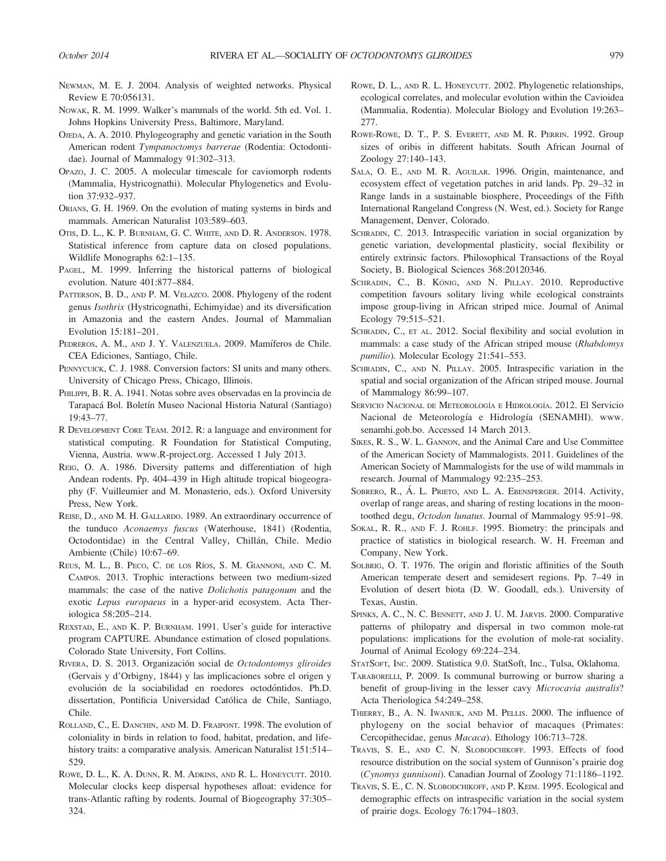- NEWMAN, M. E. J. 2004. Analysis of weighted networks. Physical Review E 70:056131.
- NOWAK, R. M. 1999. Walker's mammals of the world. 5th ed. Vol. 1. Johns Hopkins University Press, Baltimore, Maryland.
- OJEDA, A. A. 2010. Phylogeography and genetic variation in the South American rodent Tympanoctomys barrerae (Rodentia: Octodontidae). Journal of Mammalogy 91:302–313.
- OPAZO, J. C. 2005. A molecular timescale for caviomorph rodents (Mammalia, Hystricognathi). Molecular Phylogenetics and Evolution 37:932–937.
- ORIANS, G. H. 1969. On the evolution of mating systems in birds and mammals. American Naturalist 103:589–603.
- OTIS, D. L., K. P. BURNHAM, G. C. WHITE, AND D. R. ANDERSON. 1978. Statistical inference from capture data on closed populations. Wildlife Monographs 62:1–135.
- PAGEL, M. 1999. Inferring the historical patterns of biological evolution. Nature 401:877–884.
- PATTERSON, B. D., AND P. M. VELAZCO. 2008. Phylogeny of the rodent genus Isothrix (Hystricognathi, Echimyidae) and its diversification in Amazonia and the eastern Andes. Journal of Mammalian Evolution 15:181–201.
- PEDREROS, A. M., AND J. Y. VALENZUELA. 2009. Mamíferos de Chile. CEA Ediciones, Santiago, Chile.
- PENNYCUICK, C. J. 1988. Conversion factors: SI units and many others. University of Chicago Press, Chicago, Illinois.
- PHILIPPI, B. R. A. 1941. Notas sobre aves observadas en la provincia de Tarapacá Bol. Boletín Museo Nacional Historia Natural (Santiago) 19:43–77.
- R DEVELOPMENT CORE TEAM. 2012. R: a language and environment for statistical computing. R Foundation for Statistical Computing, Vienna, Austria. www.R-project.org. Accessed 1 July 2013.
- REIG, O. A. 1986. Diversity patterns and differentiation of high Andean rodents. Pp. 404–439 in High altitude tropical biogeography (F. Vuilleumier and M. Monasterio, eds.). Oxford University Press, New York.
- REISE, D., AND M. H. GALLARDO. 1989. An extraordinary occurrence of the tunduco Aconaemys fuscus (Waterhouse, 1841) (Rodentia, Octodontidae) in the Central Valley, Chillán, Chile. Medio Ambiente (Chile) 10:67–69.
- REUS, M. L., B. PECO, C. DE LOS RÍOS, S. M. GIANNONI, AND C. M. CAMPOS. 2013. Trophic interactions between two medium-sized mammals: the case of the native Dolichotis patagonum and the exotic Lepus europaeus in a hyper-arid ecosystem. Acta Theriologica 58:205–214.
- REXSTAD, E., AND K. P. BURNHAM. 1991. User's guide for interactive program CAPTURE. Abundance estimation of closed populations. Colorado State University, Fort Collins.
- RIVERA, D. S. 2013. Organización social de Octodontomys gliroides (Gervais y d'Orbigny, 1844) y las implicaciones sobre el origen y evolución de la sociabilidad en roedores octodóntidos. Ph.D. dissertation, Pontificia Universidad Catolica de Chile, Santiago, ´ Chile.
- ROLLAND, C., E. DANCHIN, AND M. D. FRAIPONT. 1998. The evolution of coloniality in birds in relation to food, habitat, predation, and lifehistory traits: a comparative analysis. American Naturalist 151:514– 529.
- ROWE, D. L., K. A. DUNN, R. M. ADKINS, AND R. L. HONEYCUTT. 2010. Molecular clocks keep dispersal hypotheses afloat: evidence for trans-Atlantic rafting by rodents. Journal of Biogeography 37:305– 324.
- ROWE, D. L., AND R. L. HONEYCUTT. 2002. Phylogenetic relationships, ecological correlates, and molecular evolution within the Cavioidea (Mammalia, Rodentia). Molecular Biology and Evolution 19:263– 277.
- ROWE-ROWE, D. T., P. S. EVERETT, AND M. R. PERRIN. 1992. Group sizes of oribis in different habitats. South African Journal of Zoology 27:140–143.
- SALA, O. E., AND M. R. AGUILAR. 1996. Origin, maintenance, and ecosystem effect of vegetation patches in arid lands. Pp. 29–32 in Range lands in a sustainable biosphere, Proceedings of the Fifth International Rangeland Congress (N. West, ed.). Society for Range Management, Denver, Colorado.
- SCHRADIN, C. 2013. Intraspecific variation in social organization by genetic variation, developmental plasticity, social flexibility or entirely extrinsic factors. Philosophical Transactions of the Royal Society, B. Biological Sciences 368:20120346.
- SCHRADIN, C., B. KÖNIG, AND N. PILLAY. 2010. Reproductive competition favours solitary living while ecological constraints impose group-living in African striped mice. Journal of Animal Ecology 79:515–521.
- SCHRADIN, C., ET AL. 2012. Social flexibility and social evolution in mammals: a case study of the African striped mouse (*Rhabdomys*) pumilio). Molecular Ecology 21:541–553.
- SCHRADIN, C., AND N. PILLAY. 2005. Intraspecific variation in the spatial and social organization of the African striped mouse. Journal of Mammalogy 86:99–107.
- SERVICIO NACIONAL DE METEOROLOGÍA E HIDROLOGÍA. 2012. El Servicio Nacional de Meteorología e Hidrología (SENAMHI). www. senamhi.gob.bo. Accessed 14 March 2013.
- SIKES, R. S., W. L. GANNON, and the Animal Care and Use Committee of the American Society of Mammalogists. 2011. Guidelines of the American Society of Mammalogists for the use of wild mammals in research. Journal of Mammalogy 92:235–253.
- SOBRERO, R., Á. L. PRIETO, AND L. A. EBENSPERGER. 2014. Activity, overlap of range areas, and sharing of resting locations in the moontoothed degu, Octodon lunatus. Journal of Mammalogy 95:91–98.
- SOKAL, R. R., AND F. J. ROHLF. 1995. Biometry: the principals and practice of statistics in biological research. W. H. Freeman and Company, New York.
- SOLBRIG, O. T. 1976. The origin and floristic affinities of the South American temperate desert and semidesert regions. Pp. 7–49 in Evolution of desert biota (D. W. Goodall, eds.). University of Texas, Austin.
- SPINKS, A. C., N. C. BENNETT, AND J. U. M. JARVIS. 2000. Comparative patterns of philopatry and dispersal in two common mole-rat populations: implications for the evolution of mole-rat sociality. Journal of Animal Ecology 69:224–234.
- STATSOFT, INC. 2009. Statistica 9.0. StatSoft, Inc., Tulsa, Oklahoma.
- TARABORELLI, P. 2009. Is communal burrowing or burrow sharing a benefit of group-living in the lesser cavy Microcavia australis? Acta Theriologica 54:249–258.
- THIERRY, B., A. N. IWANIUK, AND M. PELLIS. 2000. The influence of phylogeny on the social behavior of macaques (Primates: Cercopithecidae, genus Macaca). Ethology 106:713–728.
- TRAVIS, S. E., AND C. N. SLOBODCHIKOFF. 1993. Effects of food resource distribution on the social system of Gunnison's prairie dog (Cynomys gunnisoni). Canadian Journal of Zoology 71:1186–1192.
- TRAVIS, S. E., C. N. SLOBODCHIKOFF, AND P. KEIM. 1995. Ecological and demographic effects on intraspecific variation in the social system of prairie dogs. Ecology 76:1794–1803.